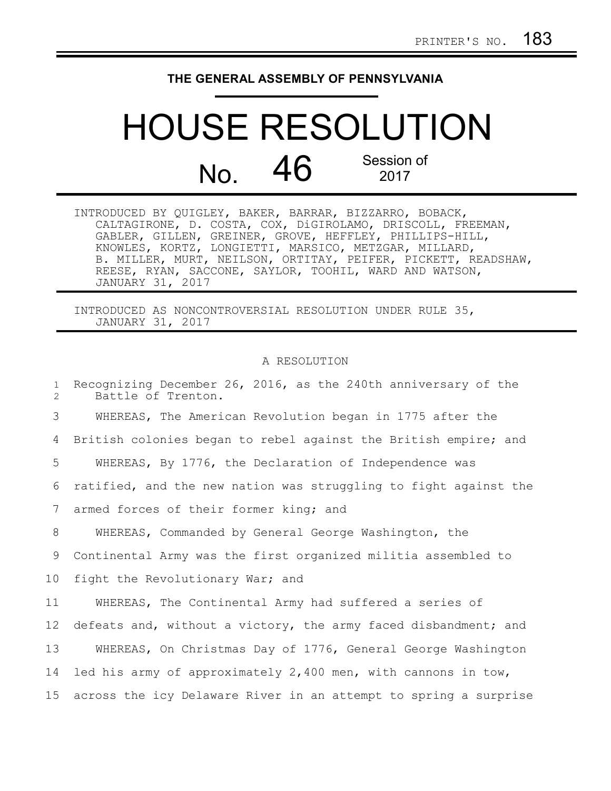## **THE GENERAL ASSEMBLY OF PENNSYLVANIA**

## HOUSE RESOLUTION  $N<sub>0</sub>$  46 Session of 2017

INTRODUCED BY QUIGLEY, BAKER, BARRAR, BIZZARRO, BOBACK, CALTAGIRONE, D. COSTA, COX, DiGIROLAMO, DRISCOLL, FREEMAN, GABLER, GILLEN, GREINER, GROVE, HEFFLEY, PHILLIPS-HILL, KNOWLES, KORTZ, LONGIETTI, MARSICO, METZGAR, MILLARD, B. MILLER, MURT, NEILSON, ORTITAY, PEIFER, PICKETT, READSHAW, REESE, RYAN, SACCONE, SAYLOR, TOOHIL, WARD AND WATSON, JANUARY 31, 2017

INTRODUCED AS NONCONTROVERSIAL RESOLUTION UNDER RULE 35, JANUARY 31, 2017

## A RESOLUTION

Recognizing December 26, 2016, as the 240th anniversary of the Battle of Trenton. WHEREAS, The American Revolution began in 1775 after the British colonies began to rebel against the British empire; and WHEREAS, By 1776, the Declaration of Independence was ratified, and the new nation was struggling to fight against the armed forces of their former king; and WHEREAS, Commanded by General George Washington, the Continental Army was the first organized militia assembled to fight the Revolutionary War; and WHEREAS, The Continental Army had suffered a series of defeats and, without a victory, the army faced disbandment; and WHEREAS, On Christmas Day of 1776, General George Washington led his army of approximately 2,400 men, with cannons in tow, across the icy Delaware River in an attempt to spring a surprise 1 2 3 4 5 6 7 8 9 10 11 12 13 14 15